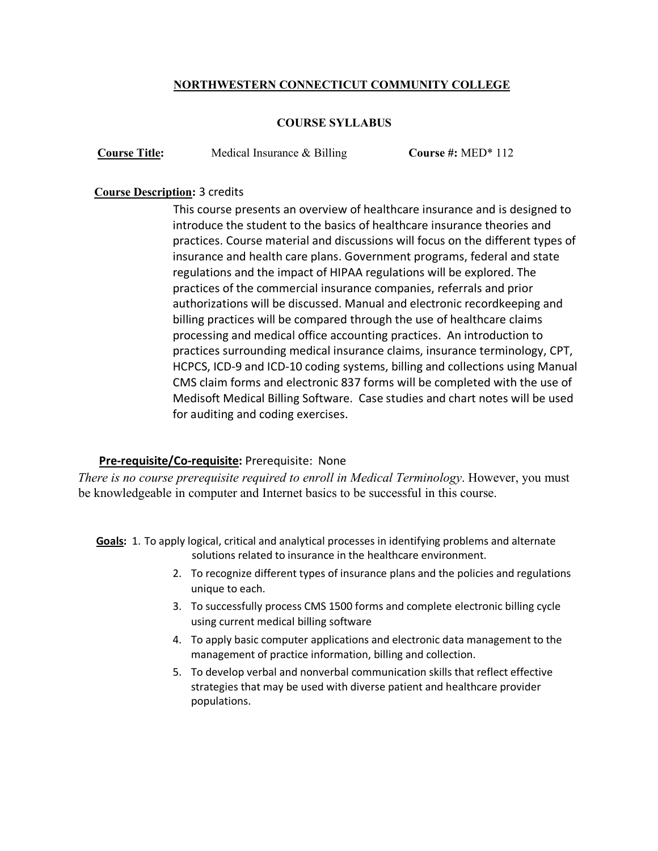## **NORTHWESTERN CONNECTICUT COMMUNITY COLLEGE**

## **COURSE SYLLABUS**

**Course Title:** Medical Insurance & Billing **Course #:** MED\* 112

## **Course Description:** 3 credits

This course presents an overview of healthcare insurance and is designed to introduce the student to the basics of healthcare insurance theories and practices. Course material and discussions will focus on the different types of insurance and health care plans. Government programs, federal and state regulations and the impact of HIPAA regulations will be explored. The practices of the commercial insurance companies, referrals and prior authorizations will be discussed. Manual and electronic recordkeeping and billing practices will be compared through the use of healthcare claims processing and medical office accounting practices. An introduction to practices surrounding medical insurance claims, insurance terminology, CPT, HCPCS, ICD-9 and ICD-10 coding systems, billing and collections using Manual CMS claim forms and electronic 837 forms will be completed with the use of Medisoft Medical Billing Software. Case studies and chart notes will be used for auditing and coding exercises.

## **Pre-requisite/Co-requisite:** Prerequisite: None

*There is no course prerequisite required to enroll in Medical Terminology*. However, you must be knowledgeable in computer and Internet basics to be successful in this course.

**Goals:** 1. To apply logical, critical and analytical processes in identifying problems and alternate solutions related to insurance in the healthcare environment.

- 2. To recognize different types of insurance plans and the policies and regulations unique to each.
- 3. To successfully process CMS 1500 forms and complete electronic billing cycle using current medical billing software
- 4. To apply basic computer applications and electronic data management to the management of practice information, billing and collection.
- 5. To develop verbal and nonverbal communication skills that reflect effective strategies that may be used with diverse patient and healthcare provider populations.